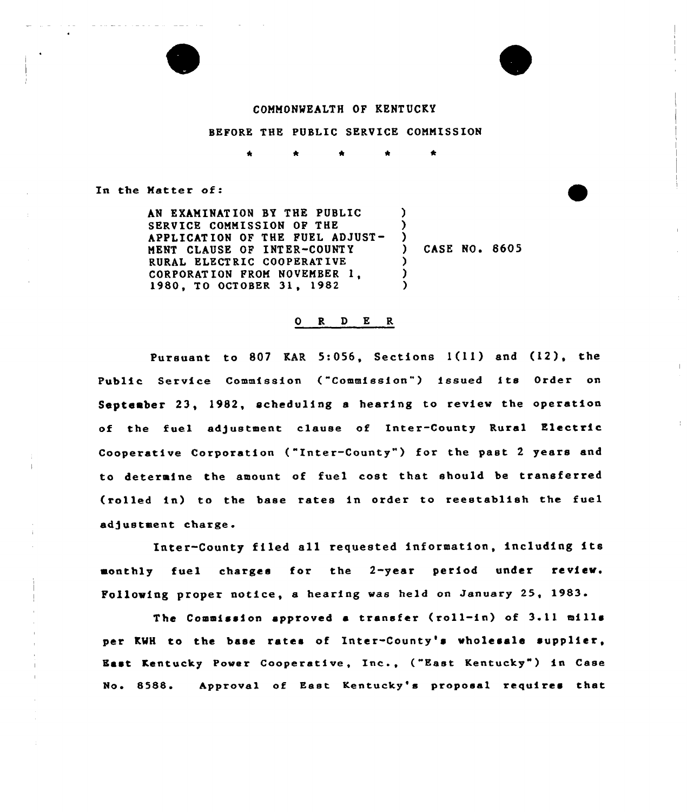#### COMMONWEALTH OF KENTUCKY

#### BEFORE THE PUBLIC SERVICE COMMISSION

In the Natter of:

AN EXAMINAT ION BY THE PUBLIC SERVICE COMMISSION OF THE APPLICATION OF THE FUEL ADJUST-MENT CLAUSE OF INTER-COUNTY RURAL ELECTRIC COOPERATIVE CORPORATION FROM NOVEMBER 1980, TO OCTOBER 31, 1982  $\lambda$ ) )<br>) ) CASE NO. 8605 ) ) )

### 0 R <sup>D</sup> E R

 $\mathbf{I}$ 

Pursuant to 807 KAR 5:056, Sections l(11) and (12), the Public Service Commission ("Commission") issued its Order on September 23, 1982, scheduling a hearing to review the operation of the fuel adjustment clause of Inter-County Rural Electric Cooperative Corporation ("Inter-County") for the past 2 years and to determine the amount of fuel cost that should be transferred (rolled in) to the base rates in order to reestablish the fuel adjustment charge.

Inter-County filed all requested information, including its monthly fuel charges for the 2-year period under review. Following proper notice, a hearing was held on January 25, 1983.

The Commission approved <sup>a</sup> transfer (roll-in) of 3.11 mills per KMH to the base rates of Inter-County's «holcsale supplier, East Kentucky Power Cooperative, Inc., ("East Kentucky") in Case No. 8588. Approval of East Kentucky's proposal requires that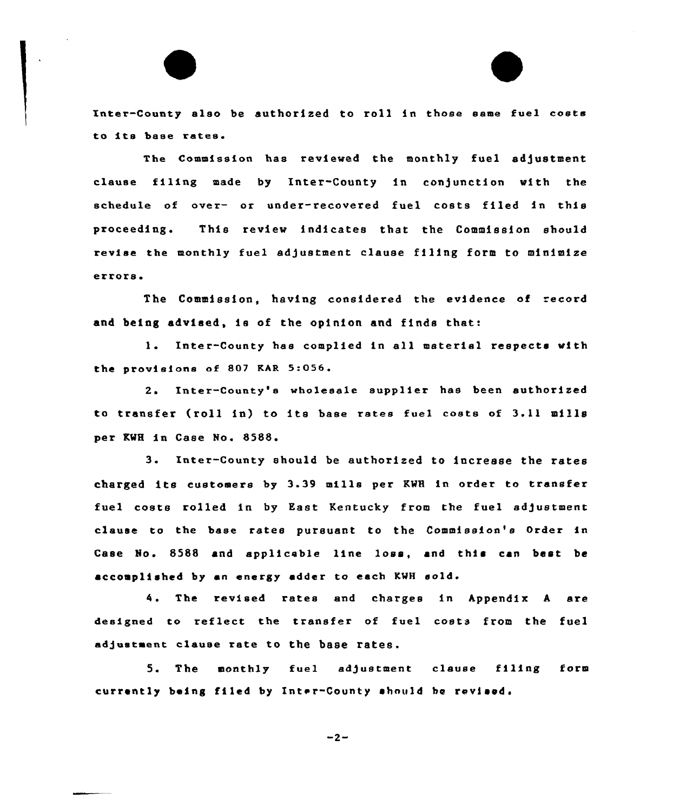Inter-County also be authorized to roll in those same fuel costs to its base rates.

The Commission has reviewed the monthly fuel adjustment clause filing made by Inter-County in conjunction with the schedule of over- or under-recovered fuel costs filed in this proceeding. This review indicates that the Commission should revise the monthly fuel adjustment clause filing form to minimize errors.

The Commission, having considered the evidence of record and being advised, ie of the opinion and finds that:

l. Inter-County has complied in all material respects with the provisions of 807 EAR 5:056.

2. Inter-County'a wholesale supplier has been authorized to transfer (roll in) to ite base rates fuel costs of 3.ll mills per KWH in Case No. 8588.

 $3.$ Inter-County should be authorized to increase the rates charged its customers by 3.39 mille per KMH in order to transfer fuel costs rolled in by East Kentucky from the fuel adjustment clause to the base rates pursuant to the Commission's Order in Case No. 8588 and applicable line loss, and this can best be accomplished by an energy adder to each KMH sold.

4. the revised rates and charges in Appendix <sup>A</sup> are deeigned to reflect the transfer of fuel costs from the fuel adjustment clause rate to the base rates.

5. The monthly fuel ed/ustment clause filing form currently being filed by Inter-County should be revised.

 $-2-$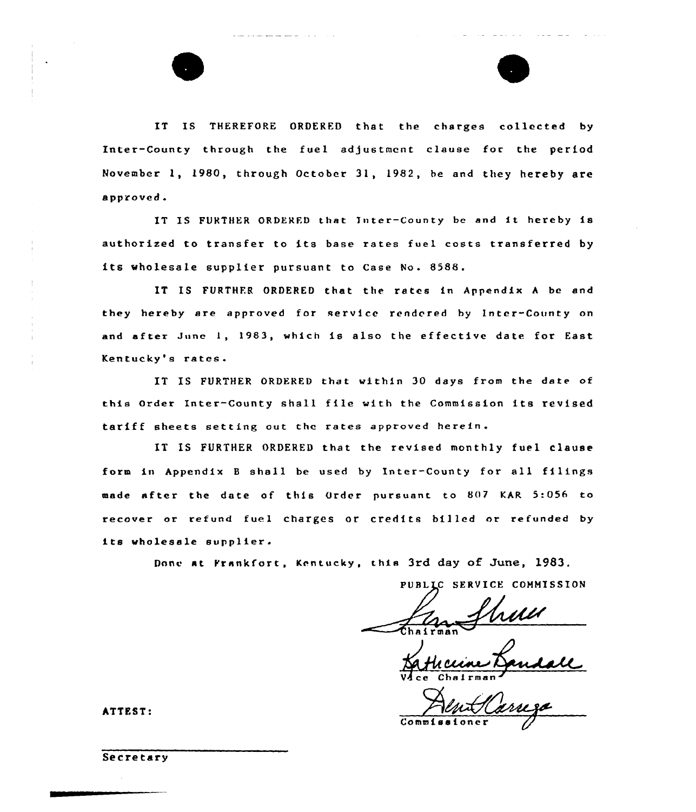IT IS THEREFORE ORDERED that the charges collected by Inter-County through the fuel adjustment clause for the period November 1, 1980, through October 31, 1982, be and they hereby are approved.

IT IS FURTHER ORDERED that Inter-County be and it hereby is authorized to transfer to its base rates fuel costs transferred by its wholesale supplier pursuant to Case No. 8588.

IT IS FURTHER ORDERED that the rates in Appendix A be and they hereby are approved for service rendered by Inter-County on and after June I, 1983, which is also the effective date for East Kentucky's rates.

IT IS FURTHER ORDERED that within 30 days from the date of this Order Inter-County shall file with the Commission its revised tariff sheets setting out the rates approved herein.

IT IS FURTHER ORDERED that the revised monthly fuel clause form in Appendix <sup>B</sup> shall be used by Inter-County for all filings made after the date of this Order pursuant to 807 KAR 5:056 to recover or refund fuel charges or credits billed or refunded by its wholesale supplier.

Done at Frankfort, Kentucky, this 3rd day of June, 1983.

PUBLIC SERVICE COMMISSION

and the company of the company

Vace Chairman

 $Comm1$ 

ATTEST:

Secretary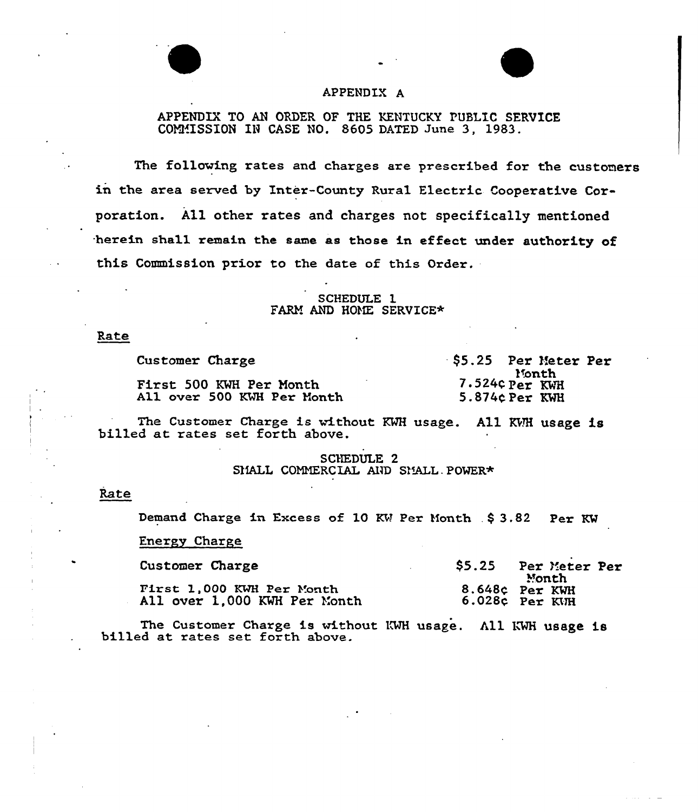

## APPENDIX A

APPENDIX TO AN ORDER OF THE KENTUCKY PUBLIC SERVICE COMMISSION IN CASE NO. 8605 DATED June 3, 1983.

The following rates and charges are prescribed for the customers in the area served by Inter-County Rural Electric Cooperative Corporation. All other rates and charges not specifically mentioned herein sha11 remain the same as those in effect under authority of this Commission prior to the date of this Order.

# SCHEDULE 1 FARM AND HOME SERVICE\*

Rate

Customer Charge First 500 KMH Per Month All over 500 KWH Per Month \$5.25 Per Meter Per Month 7.524¢ Per KWH 5.874C.Per KMH

The Customer Charge is without KWH usage. All KWH usage is billed at rates set forth above.

SCHEDULE 2 SMALL COMMERCIAL AND SMALL POWER\*

### Rate

Demand Charge in Excess of 10 KW Per Month . \$ 3.82 Per KW

## Energy Charge

| Customer Charge                                           | \$5.25 | Per Meter Per<br>Month             |
|-----------------------------------------------------------|--------|------------------------------------|
| First 1,000 KWH Per Month<br>All over 1,000 KWH Per Month |        | 8.648¢ Per KWH<br>$6.028c$ Per KVH |

The Customer Charge is without KWH usage. All KWH usage is billed at rates set forth above.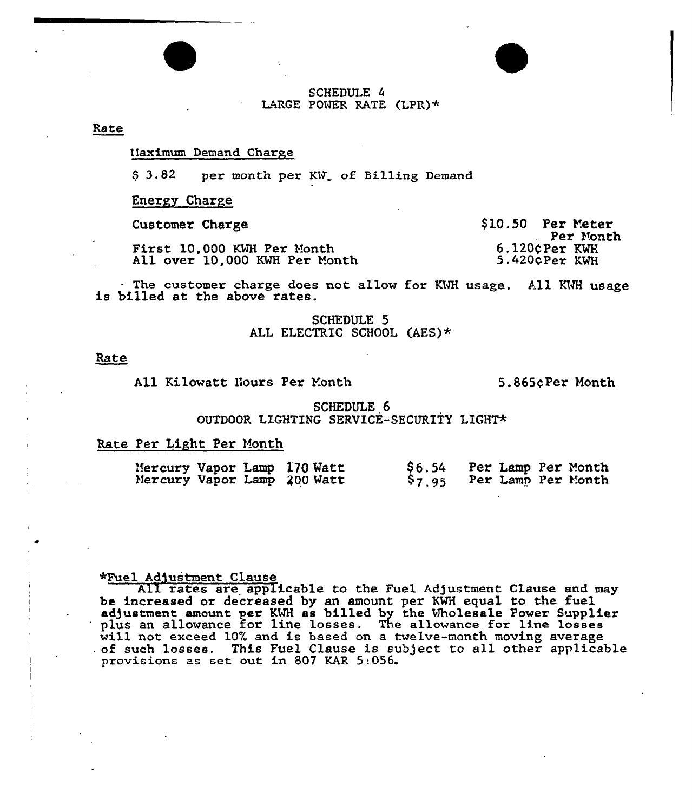### SCHEDULE 4 LARGE POWER RATE (LPR)\*

### Rate

#### IIaximum Demand Charge

\$ 3.82 per month per KW of Billing Demand

Energy Charge

Customer Charge

First 10,000 KWH Per Month All over 10,000 KWH Per month \$10.50 Per Yeter Per Month 6.120<Per KMR 5.420CPer KWH

The customer charge does not allow for KWH usage. All KWH usage is billed at the above rates.

SCHEDULE 5 ALL ELECTRIC SCHOOL (AES)\*

### Rate

All Kilowatt Hours Per Yonth 5.865qPer Month

SCHEDULE 6 OUTDOOR LIGHTING SERVICE-SECURITY LIGHT

## Rate Per Light Per Month

| <b>\$6.54</b><br>Mercury Vapor Lamp 170 Watt<br>Mercury Vapor Lamp 200 Watt<br>\$7.95 | Per Lamp Per Month<br>Per Lamp Per Month |  |
|---------------------------------------------------------------------------------------|------------------------------------------|--|
|---------------------------------------------------------------------------------------|------------------------------------------|--|

#### +Fuel Ad5ustment Clause

All rates are applicable to the Fuel Adjustment Clause and may be increased or decreased by an amount per KWH equal to the fuel adjustment amount per KWH as billed by the Wholesale Power Supplie plus an allowance for line losses. The allowance for line losses will not exceed 10% and is based on a twelve-month moving average of such losses. This Fuel Clause is subject to all other applicable provisions as set out in 807 KAR 5:056.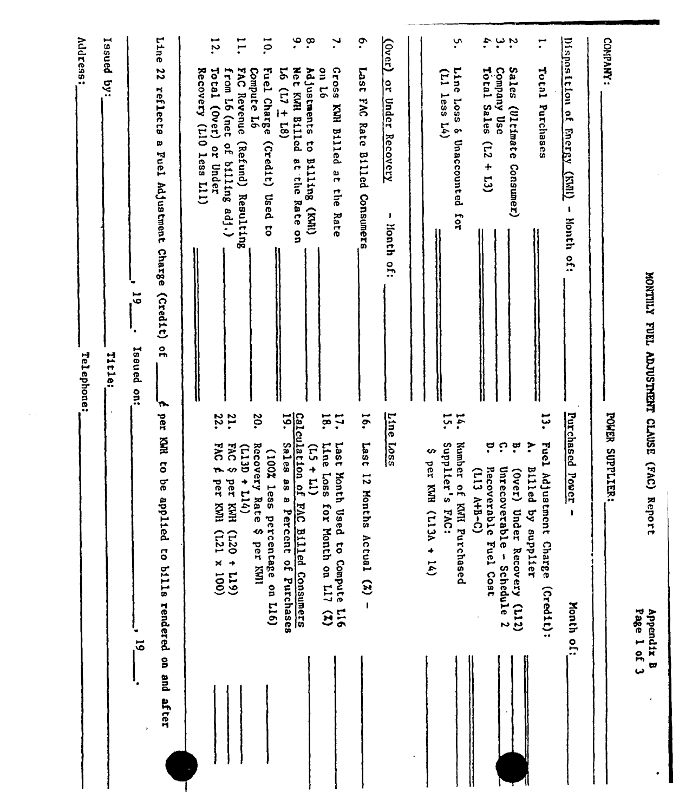|           |                                                                                                                  | <b>Address:</b><br>Issued<br>έă.<br>Telephone:                                                           |
|-----------|------------------------------------------------------------------------------------------------------------------|----------------------------------------------------------------------------------------------------------|
|           |                                                                                                                  | Title:                                                                                                   |
| $\vec{5}$ |                                                                                                                  | 5,<br>Isaued<br>$rac{1}{2}$                                                                              |
| after     | per KWR to be app<br>lied to bills rendered on and                                                               | Line<br>22<br>reflects a Fuel Adjustment Charge (Credit)<br>$\frac{1}{2}$<br>'n                          |
|           |                                                                                                                  | Recovery (L10 less L11)                                                                                  |
|           | 22.<br><b>DAC</b><br>$\overline{r}$<br>per KWI<br>$(001 \times 127)$                                             | $\overline{5}$<br>Total (Over) or Under                                                                  |
|           | 21.<br><b>FACS</b><br>(T13D)<br>$+114$<br>per KWH<br>$(611 + 021)$                                               | H.<br>FAC Revenue<br>from L6 (net of billing adj.)<br>(Refund) Resulting                                 |
|           | 20.<br>Recovery Rat<br>(100% less<br>ო<br>�<br>percentage on L16)<br>per KWI                                     | $\overline{5}$<br><b>Fuel Charge</b><br>Compute L6<br>(Credit)<br>Used<br>$\vec{c}$                      |
|           | 5.<br>Sales as a Percent of Purchases                                                                            | 5 <sup>1</sup><br>$(81 + 11)$                                                                            |
|           | Calculation of<br>$(11 + 51)$<br>FAC Billed Consumers                                                            | $\ddot{\bullet}$<br>$\cdot^{\infty}$<br>Net KWH B111cd<br>Adjustments to Billing (KWH)<br>at the Rate on |
|           | 18.<br><b>17.</b><br>Line<br>Last Month Used to Compute L16<br><b>SSOT</b><br>for Month on L17<br>$\mathfrak{S}$ | ٦.<br>97 uo<br>Gross KWH Billed at the<br>Rate                                                           |
|           | $\overline{16}$<br>Last<br>12 Mont<br>hs Actual $(2)$ -                                                          | $\mathbf{e}$<br>1ser <sub>1</sub><br><b>EVG</b><br>Rate<br>Billed Consumers                              |
|           | Line<br>$rac{L}{2801}$                                                                                           | $\overline{\text{Cov}}$<br>or Under<br>Recovery<br>J.<br>lionth of:                                      |
|           |                                                                                                                  |                                                                                                          |
|           | Ϊ,<br>subblier's<br>$\boldsymbol{\omega}$<br>per KNR (L13A + 14)<br><b>EAC:</b>                                  | $(11)$ less $14)$                                                                                        |
|           | 14.<br>Number of KNH Purchased                                                                                   | ب<br>Line Loss<br>& Unaccounted<br>101                                                                   |
|           | ့<br>Recoverable Fuel Cost<br>$(113 - 147 - 11)$                                                                 | 4.<br>Total Sales<br>Company Use<br>$\overline{12}$<br>$\ddot{\phantom{1}}$<br>$\overline{\mathfrak{c}}$ |
|           | ု<br>$\mathfrak{a}$<br>Unrecoverable -<br>$(0$ ver)<br>Under Recovery (L12)<br>Schedule 2                        | ى ب<br><b>Sales</b><br>(Ultimate Consumer)                                                               |
|           | ដុ<br>Fuel Adjustment Charge<br>$\ddot{\cdot}$<br>Billed by supplier<br>(Credit):                                | ≓<br>Total Purchases                                                                                     |
|           | Purchased<br>Power<br>$\mathbf{I}$<br>Month of:                                                                  | Disposition of<br><b>Energy</b><br><b>CINAL</b><br>ı<br><b>Honth</b> of:                                 |
|           | POWER SUPPLIER:                                                                                                  | COMPANY:                                                                                                 |
|           | Page 1 of 3<br>Appendix B                                                                                        | MONTILY FUEL ADJUSTAENT CLAUSE (FAC) Report                                                              |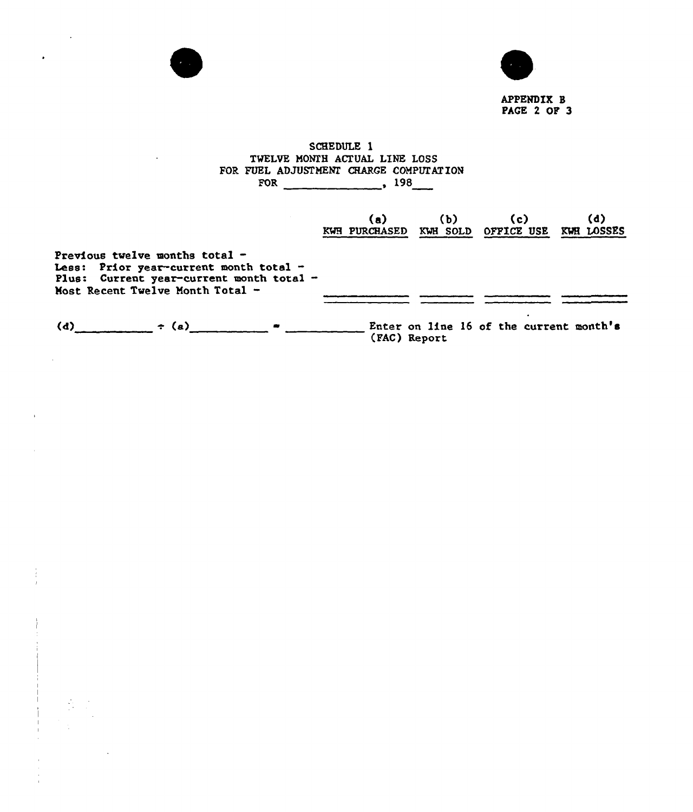

 $\overline{\phantom{a}}$ 

 $\sim 10^{11}$ 

 $\bullet$ 

 $\sim 10^6$ 

 $\lambda$ 

 $\alpha$ 

 $\label{eq:3.1} \frac{1}{\sqrt{2}}\left(\frac{1}{\sqrt{2}}\right)^{2}$  $\frac{1}{2}$ 

 $\hat{\mathcal{A}}$ 



APPENDIX 8 PAGE 2 OF 3

# SCHEDULE 1 TWELVE MONZH ACTUAL LINE LOSS FOR FUEL ADJUSTMENZ CHARGE COMPVZAT ION FOR  $\qquad \qquad 198$

|                                                                                                                                                            | (a)<br>KWH PURCHASED | (Ы<br>KWH SOLD | (c)<br><b>OFFICE USE</b>                | (d)<br>KWH LOSSES |
|------------------------------------------------------------------------------------------------------------------------------------------------------------|----------------------|----------------|-----------------------------------------|-------------------|
| Previous twelve months total $-$<br>Less: Prior year-current month total -<br>Plus: Current year-current month total -<br>Most Recent Twelve Month Total - |                      |                |                                         |                   |
| (d)<br>$\div$ (a)                                                                                                                                          |                      | (FAC) Report   | Enter on line 16 of the current month's |                   |